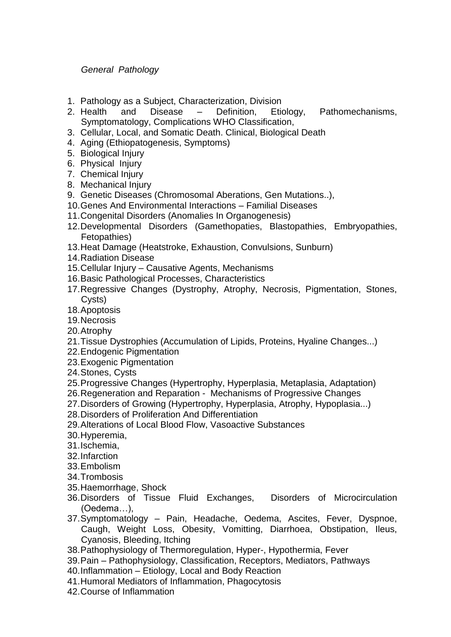## *General Pathology*

- 1. Pathology as a Subject, Characterization, Division
- 2. Health and Disease Definition, Etiology, Pathomechanisms, Symptomatology, Complications WHO Classification,
- 3. Cellular, Local, and Somatic Death. Clinical, Biological Death
- 4. Aging (Ethiopatogenesis, Symptoms)
- 5. Biological Injury
- 6. Physical Injury
- 7. Chemical Injury
- 8. Mechanical Injury
- 9. Genetic Diseases (Chromosomal Aberations, Gen Mutations..),
- 10.Genes And Environmental Interactions Familial Diseases
- 11.Congenital Disorders (Anomalies In Organogenesis)
- 12.Developmental Disorders (Gamethopaties, Blastopathies, Embryopathies, Fetopathies)
- 13.Heat Damage (Heatstroke, Exhaustion, Convulsions, Sunburn)
- 14.Radiation Disease
- 15.Cellular Injury Causative Agents, Mechanisms
- 16.Basic Pathological Processes, Characteristics
- 17.Regressive Changes (Dystrophy, Atrophy, Necrosis, Pigmentation, Stones, Cysts)
- 18.Apoptosis
- 19.Necrosis
- 20.Atrophy
- 21.Tissue Dystrophies (Accumulation of Lipids, Proteins, Hyaline Changes...)
- 22.Endogenic Pigmentation
- 23.Exogenic Pigmentation
- 24.Stones, Cysts
- 25.Progressive Changes (Hypertrophy, Hyperplasia, Metaplasia, Adaptation)
- 26.Regeneration and Reparation Mechanisms of Progressive Changes
- 27.Disorders of Growing (Hypertrophy, Hyperplasia, Atrophy, Hypoplasia...)
- 28.Disorders of Proliferation And Differentiation
- 29.Alterations of Local Blood Flow, Vasoactive Substances
- 30.Hyperemia,
- 31.Ischemia,
- 32.Infarction
- 33.Embolism
- 34.Trombosis
- 35.Haemorrhage, Shock
- 36.Disorders of Tissue Fluid Exchanges, Disorders of Microcirculation (Oedema…),
- 37.Symptomatology Pain, Headache, Oedema, Ascites, Fever, Dyspnoe, Caugh, Weight Loss, Obesity, Vomitting, Diarrhoea, Obstipation, Ileus, Cyanosis, Bleeding, Itching
- 38.Pathophysiology of Thermoregulation, Hyper-, Hypothermia, Fever
- 39.Pain Pathophysiology, Classification, Receptors, Mediators, Pathways
- 40.Inflammation Etiology, Local and Body Reaction
- 41.Humoral Mediators of Inflammation, Phagocytosis
- 42.Course of Inflammation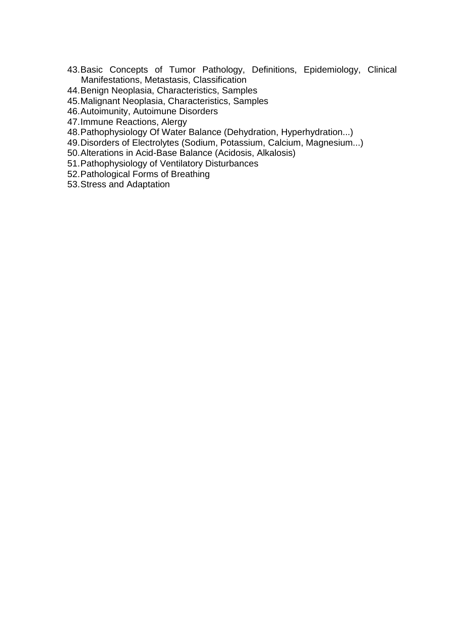- 43.Basic Concepts of Tumor Pathology, Definitions, Epidemiology, Clinical Manifestations, Metastasis, Classification
- 44.Benign Neoplasia, Characteristics, Samples
- 45.Malignant Neoplasia, Characteristics, Samples
- 46.Autoimunity, Autoimune Disorders
- 47.Immune Reactions, Alergy
- 48.Pathophysiology Of Water Balance (Dehydration, Hyperhydration...)
- 49.Disorders of Electrolytes (Sodium, Potassium, Calcium, Magnesium...)
- 50.Alterations in Acid-Base Balance (Acidosis, Alkalosis)
- 51.Pathophysiology of Ventilatory Disturbances
- 52.Pathological Forms of Breathing

53.Stress and Adaptation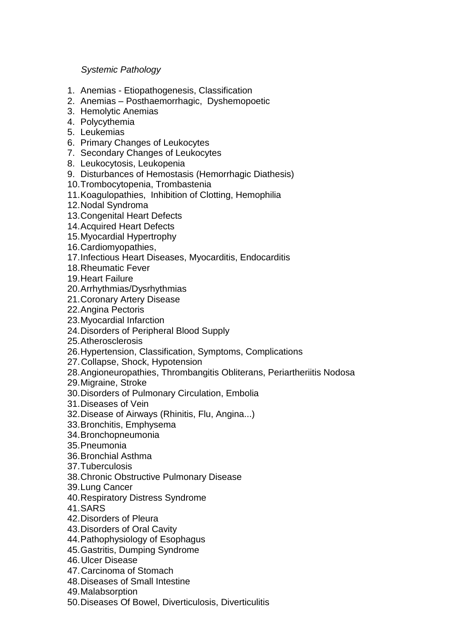## *Systemic Pathology*

- 1. Anemias Etiopathogenesis, Classification
- 2. Anemias Posthaemorrhagic, Dyshemopoetic
- 3. Hemolytic Anemias
- 4. Polycythemia
- 5. Leukemias
- 6. Primary Changes of Leukocytes
- 7. Secondary Changes of Leukocytes
- 8. Leukocytosis, Leukopenia
- 9. Disturbances of Hemostasis (Hemorrhagic Diathesis)
- 10.Trombocytopenia, Trombastenia
- 11.Koagulopathies, Inhibition of Clotting, Hemophilia
- 12.Nodal Syndroma
- 13.Congenital Heart Defects
- 14.Acquired Heart Defects
- 15.Myocardial Hypertrophy
- 16.Cardiomyopathies,
- 17.Infectious Heart Diseases, Myocarditis, Endocarditis
- 18.Rheumatic Fever
- 19.Heart Failure
- 20.Arrhythmias/Dysrhythmias
- 21.Coronary Artery Disease
- 22.Angina Pectoris
- 23.Myocardial Infarction
- 24.Disorders of Peripheral Blood Supply
- 25.Atherosclerosis
- 26.Hypertension, Classification, Symptoms, Complications
- 27.Collapse, Shock, Hypotension
- 28.Angioneuropathies, Thrombangitis Obliterans, Periartheriitis Nodosa
- 29.Migraine, Stroke
- 30.Disorders of Pulmonary Circulation, Embolia
- 31.Diseases of Vein
- 32.Disease of Airways (Rhinitis, Flu, Angina...)
- 33.Bronchitis, Emphysema
- 34.Bronchopneumonia
- 35.Pneumonia
- 36.Bronchial Asthma
- 37.Tuberculosis
- 38.Chronic Obstructive Pulmonary Disease
- 39.Lung Cancer
- 40.Respiratory Distress Syndrome
- 41.SARS
- 42.Disorders of Pleura
- 43.Disorders of Oral Cavity
- 44.Pathophysiology of Esophagus
- 45.Gastritis, Dumping Syndrome
- 46.Ulcer Disease
- 47.Carcinoma of Stomach
- 48.Diseases of Small Intestine
- 49.Malabsorption
- 50.Diseases Of Bowel, Diverticulosis, Diverticulitis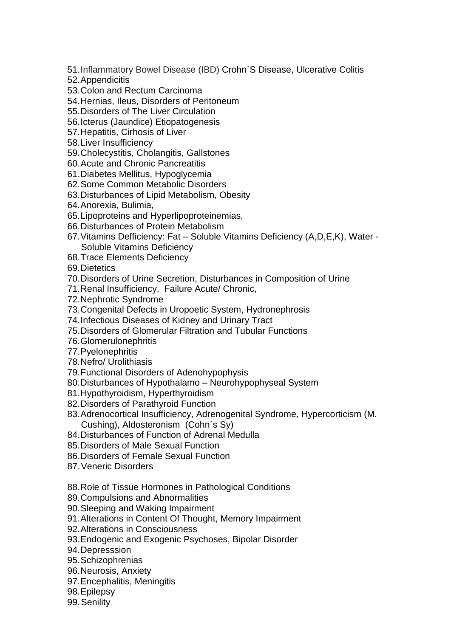- 51.Inflammatory Bowel Disease (IBD) Crohn`S Disease, Ulcerative Colitis
- 52.Appendicitis
- 53.Colon and Rectum Carcinoma
- 54.Hernias, Ileus, Disorders of Peritoneum
- 55.Disorders of The Liver Circulation
- 56.Icterus (Jaundice) Etiopatogenesis
- 57.Hepatitis, Cirhosis of Liver
- 58.Liver Insufficiency
- 59.Cholecystitis, Cholangitis, Gallstones
- 60.Acute and Chronic Pancreatitis
- 61.Diabetes Mellitus, Hypoglycemia
- 62.Some Common Metabolic Disorders
- 63.Disturbances of Lipid Metabolism, Obesity
- 64.Anorexia, Bulimia,
- 65.Lipoproteins and Hyperlipoproteinemias,
- 66.Disturbances of Protein Metabolism
- 67.Vitamins Defficiency: Fat Soluble Vitamins Deficiency (A,D,E,K), Water Soluble Vitamins Deficiency
- 68.Trace Elements Deficiency
- 69.Dietetics
- 70.Disorders of Urine Secretion, Disturbances in Composition of Urine
- 71.Renal Insufficiency, Failure Acute/ Chronic,
- 72.Nephrotic Syndrome
- 73.Congenital Defects in Uropoetic System, Hydronephrosis
- 74.Infectious Diseases of Kidney and Urinary Tract
- 75.Disorders of Glomerular Filtration and Tubular Functions
- 76.Glomerulonephritis
- 77.Pyelonephritis
- 78.Nefro/ Urolithiasis
- 79.Functional Disorders of Adenohypophysis
- 80.Disturbances of Hypothalamo Neurohypophyseal System
- 81.Hypothyroidism, Hyperthyroidism
- 82.Disorders of Parathyroid Function
- 83.Adrenocortical Insufficiency, Adrenogenital Syndrome, Hypercorticism (M. Cushing), Aldosteronism (Cohn`s Sy)
- 84.Disturbances of Function of Adrenal Medulla
- 85.Disorders of Male Sexual Function
- 86.Disorders of Female Sexual Function
- 87.Veneric Disorders
- 88.Role of Tissue Hormones in Pathological Conditions
- 89.Compulsions and Abnormalities
- 90.Sleeping and Waking Impairment
- 91.Alterations in Content Of Thought, Memory Impairment
- 92.Alterations in Consciousness
- 93.Endogenic and Exogenic Psychoses, Bipolar Disorder
- 94.Depresssion
- 95.Schizophrenias
- 96.Neurosis, Anxiety
- 97.Encephalitis, Meningitis
- 98.Epilepsy
- 99.Senility